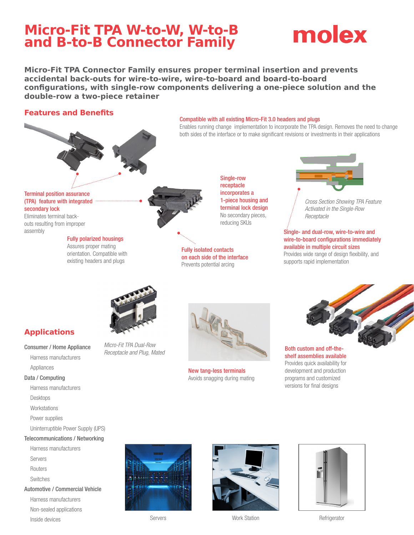## **Micro-Fit TPA W-to-W, W-to-B and B-to-B Connector Family**

## molex

**Micro-Fit TPA Connector Family ensures proper terminal insertion and prevents accidental back-outs for wire-to-wire, wire-to-board and board-to-board configurations, with single-row components delivering a one-piece solution and the double-row a two-piece retainer**

Compatible with all existing Micro-Fit 3.0 headers and plugs

Single-row receptacle incorporates a 1-piece housing and terminal lock design No secondary pieces, reducing SKUs

Enables running change implementation to incorporate the TPA design. Removes the need to change both sides of the interface or to make significant revisions or investments in their applications

### **Features and Benefits**



#### Terminal position assurance (TPA) feature with integrated secondary lock

Eliminates terminal backouts resulting from improper assembly

### Fully polarized housings

Assures proper mating orientation. Compatible with existing headers and plugs



Fully isolated contacts on each side of the interface Prevents potential arcing

New tang-less terminals Avoids snagging during mating



*Cross Section Showing TPA Feature Activated in the Single-Row Receptacle*

### Single- and dual-row, wire-to-wire and wire-to-board configurations immediately available in multiple circuit sizes Provides wide range of design flexibility, and

supports rapid implementation



*Micro-Fit TPA Dual-Row Receptacle and Plug, Mated*

**Applications**

### Consumer / Home Appliance

Harness manufacturers Appliances

### Data / Computing

- Harness manufacturers
- 
- Desktops
- **Workstations**
- Power supplies
- Uninterruptible Power Supply (UPS)

### Telecommunications / Networking

- Harness manufacturers
- Servers
- **Routers**

Inside devices

- Switches
- Automotive / Commercial Vehicle Harness manufacturers Non-sealed applications





Servers **Notify Station** Work Station **Refrigerator** Refrigerator







Both custom and off-theshelf assemblies available Provides quick availability for development and production programs and customized versions for final designs